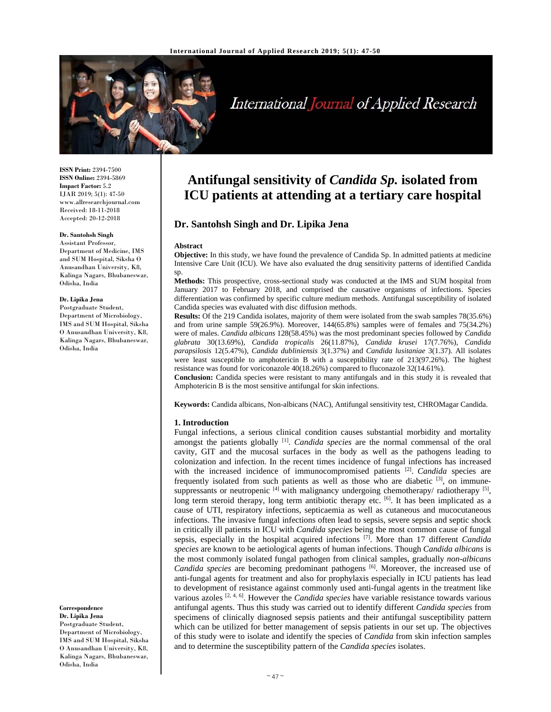

# International Journal of Applied Research

**ISSN Print:** 2394-7500 **ISSN Online:** 2394-5869 **Impact Factor:** 5.2 IJAR 2019; 5(1): 47-50 www.allresearchjournal.com Received: 18-11-2018 Accepted: 20-12-2018

#### **Dr. Santohsh Singh**

Assistant Professor, Department of Medicine, IMS and SUM Hospital, Siksha O Anusandhan University, K8, Kalinga Nagars, Bhubaneswar, Odisha, India

#### **Dr. Lipika Jena**

Postgraduate Student, Department of Microbiology, IMS and SUM Hospital, Siksha O Anusandhan University, K8, Kalinga Nagars, Bhubaneswar, Odisha, India

**Correspondence**

**Dr. Lipika Jena**  Postgraduate Student, Department of Microbiology, IMS and SUM Hospital, Siksha O Anusandhan University, K8, Kalinga Nagars, Bhubaneswar, Odisha, India

## **Antifungal sensitivity of** *Candida Sp.* **isolated from ICU patients at attending at a tertiary care hospital**

### **Dr. Santohsh Singh and Dr. Lipika Jena**

#### **Abstract**

**Objective:** In this study, we have found the prevalence of Candida Sp. In admitted patients at medicine Intensive Care Unit (ICU). We have also evaluated the drug sensitivity patterns of identified Candida sp.

**Methods:** This prospective, cross-sectional study was conducted at the IMS and SUM hospital from January 2017 to February 2018, and comprised the causative organisms of infections. Species differentiation was confirmed by specific culture medium methods. Antifungal susceptibility of isolated Candida species was evaluated with disc diffusion methods.

**Results:** Of the 219 Candida isolates, majority of them were isolated from the swab samples 78(35.6%) and from urine sample 59(26.9%). Moreover, 144(65.8%) samples were of females and 75(34.2%) were of males. *Candida albicans* 128(58.45%) was the most predominant species followed by *Candida glabrata* 30(13.69%), *Candida tropicalis* 26(11.87%), *Candida krusei* 17(7.76%), *Candida parapsilosis* 12(5.47%), *Candida dubliniensis* 3(1.37%) and *Candida lusitaniae* 3(1.37). All isolates were least susceptible to amphotericin B with a susceptibility rate of 213(97.26%). The highest resistance was found for voriconazole 40(18.26%) compared to fluconazole 32(14.61%).

**Conclusion:** Candida species were resistant to many antifungals and in this study it is revealed that Amphotericin B is the most sensitive antifungal for skin infections.

**Keywords:** Candida albicans, Non-albicans (NAC), Antifungal sensitivity test, CHROMagar Candida.

#### **1. Introduction**

Fungal infections, a serious clinical condition causes substantial morbidity and mortality amongst the patients globally [1]. *Candida species* are the normal commensal of the oral cavity, GIT and the mucosal surfaces in the body as well as the pathogens leading to colonization and infection. In the recent times incidence of fungal infections has increased with the increased incidence of immunocompromised patients [2]. *Candida* species are frequently isolated from such patients as well as those who are diabetic [3], on immunesuppressants or neutropenic  $^{[4]}$  with malignancy undergoing chemotherapy/ radiotherapy  $^{[5]}$ , long term steroid therapy, long term antibiotic therapy etc.  $[6]$ . It has been implicated as a cause of UTI, respiratory infections, septicaemia as well as cutaneous and mucocutaneous infections. The invasive fungal infections often lead to sepsis, severe sepsis and septic shock in critically ill patients in ICU with *Candida species* being the most common cause of fungal sepsis, especially in the hospital acquired infections [7]. More than 17 different *Candida species* are known to be aetiological agents of human infections. Though *Candida albicans* is the most commonly isolated fungal pathogen from clinical samples, gradually *non-albicans Candida species* are becoming predominant pathogens [6]. Moreover, the increased use of anti-fungal agents for treatment and also for prophylaxis especially in ICU patients has lead to development of resistance against commonly used anti-fungal agents in the treatment like various azoles [2, 4, 6]. However the *Candida species* have variable resistance towards various antifungal agents. Thus this study was carried out to identify different *Candida species* from specimens of clinically diagnosed sepsis patients and their antifungal susceptibility pattern which can be utilized for better management of sepsis patients in our set up. The objectives of this study were to isolate and identify the species of *Candida* from skin infection samples and to determine the susceptibility pattern of the *Candida species* isolates.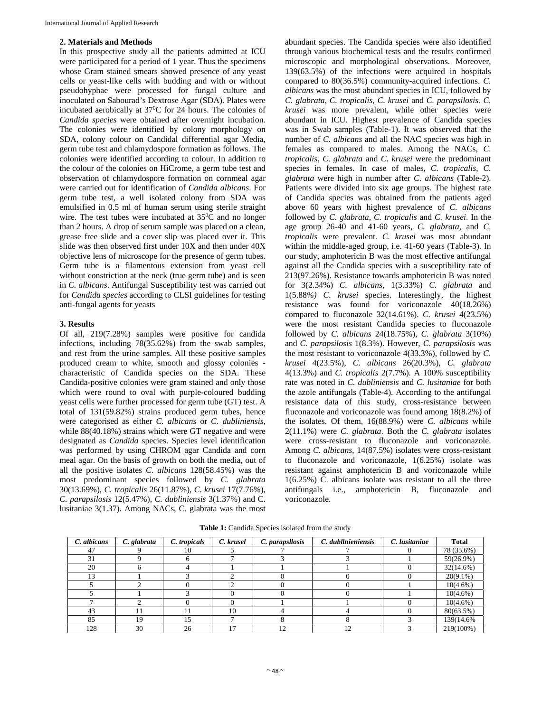#### **2. Materials and Methods**

In this prospective study all the patients admitted at ICU were participated for a period of 1 year. Thus the specimens whose Gram stained smears showed presence of any yeast cells or yeast-like cells with budding and with or without pseudohyphae were processed for fungal culture and inoculated on Sabourad's Dextrose Agar (SDA). Plates were incubated aerobically at  $37^{\circ}$ C for 24 hours. The colonies of *Candida species* were obtained after overnight incubation. The colonies were identified by colony morphology on SDA, colony colour on Candidal differential agar Media, germ tube test and chlamydospore formation as follows. The colonies were identified according to colour. In addition to the colour of the colonies on HiCrome, a germ tube test and observation of chlamydospore formation on cornmeal agar were carried out for identification of *Candida albicans*. For germ tube test, a well isolated colony from SDA was emulsified in 0.5 ml of human serum using sterile straight wire. The test tubes were incubated at 35<sup>0</sup>C and no longer than 2 hours. A drop of serum sample was placed on a clean, grease free slide and a cover slip was placed over it. This slide was then observed first under 10X and then under 40X objective lens of microscope for the presence of germ tubes. Germ tube is a filamentous extension from yeast cell without constriction at the neck (true germ tube) and is seen in *C. albicans*. Antifungal Susceptibility test was carried out for *Candida species* according to CLSI guidelines for testing anti-fungal agents for yeasts

#### **3. Results**

Of all, 219(7.28%) samples were positive for candida infections, including 78(35.62%) from the swab samples, and rest from the urine samples. All these positive samples produced cream to white, smooth and glossy colonies characteristic of Candida species on the SDA. These Candida-positive colonies were gram stained and only those which were round to oval with purple-coloured budding yeast cells were further processed for germ tube (GT) test. A total of 131(59.82%) strains produced germ tubes, hence were categorised as either *C. albicans* or *C. dubliniensis*, while  $88(40.18%)$  strains which were GT negative and were designated as *Candida* species. Species level identification was performed by using CHROM agar Candida and corn meal agar. On the basis of growth on both the media, out of all the positive isolates *C. albicans* 128(58.45%) was the most predominant species followed by *C. glabrata* 30(13.69%), *C. tropicalis* 26(11.87%), *C. krusei* 17(7.76%), *C. parapsilosis* 12(5.47%), *C. dubliniensis* 3(1.37%) and C. lusitaniae 3(1.37). Among NACs, C. glabrata was the most

abundant species. The Candida species were also identified through various biochemical tests and the results confirmed microscopic and morphological observations. Moreover, 139(63.5%) of the infections were acquired in hospitals compared to 80(36.5%) community-acquired infections. *C. albicans* was the most abundant species in ICU, followed by *C. glabrata*, *C. tropicalis*, *C. krusei* and *C. parapsilosis*. *C. krusei* was more prevalent, while other species were abundant in ICU. Highest prevalence of Candida species was in Swab samples (Table-1). It was observed that the number of *C. albicans* and all the NAC species was high in females as compared to males. Among the NACs, *C. tropicalis*, *C. glabrata* and *C. krusei* were the predominant species in females. In case of males, *C. tropicalis*, *C. glabrata* were high in number after *C. albicans* (Table-2). Patients were divided into six age groups. The highest rate of Candida species was obtained from the patients aged above 60 years with highest prevalence of *C. albicans* followed by *C. glabrata*, *C. tropicalis* and *C. krusei*. In the age group 26-40 and 41-60 years, *C. glabrata*, and *C. tropicalis* were prevalent. *C. krusei* was most abundant within the middle-aged group, i.e. 41-60 years (Table-3). In our study, amphotericin B was the most effective antifungal against all the Candida species with a susceptibility rate of 213(97.26%). Resistance towards amphotericin B was noted for 3(2.34%) *C. albicans*, 1(3.33%) *C. glabrata* and 1(5.88*%) C. krusei* species. Interestingly, the highest resistance was found for voriconazole 40(18.26%) compared to fluconazole 32(14.61%). *C. krusei* 4(23.5%) were the most resistant Candida species to fluconazole followed by *C. albicans* 24(18.75%), *C. glabrata* 3(10%) and *C. parapsilosis* 1(8.3%). However, *C. parapsilosis* was the most resistant to voriconazole 4(33.3%), followed by *C. krusei* 4(23.5%), *C. albicans* 26(20.3%), *C. glabrata* 4(13.3%) and *C. tropicalis* 2(7.7%). A 100% susceptibility rate was noted in *C. dubliniensis* and *C. lusitaniae* for both the azole antifungals (Table-4). According to the antifungal resistance data of this study, cross-resistance between fluconazole and voriconazole was found among 18(8.2%) of the isolates. Of them, 16(88.9%) were *C. albicans* while 2(11.1%) were *C. glabrata*. Both the *C. glabrata* isolates were cross-resistant to fluconazole and voriconazole. Among *C. albicans*, 14(87.5%) isolates were cross-resistant to fluconazole and voriconazole, 1(6.25%) isolate was resistant against amphotericin B and voriconazole while 1(6.25%) C. albicans isolate was resistant to all the three antifungals i.e., amphotericin B, fluconazole and voriconazole.

| C. albicans | C. glabrata | C. tropicals | C. krusel | C. parapsllosis | C. dubllnieniensis | C. lusitaniae | <b>Total</b> |
|-------------|-------------|--------------|-----------|-----------------|--------------------|---------------|--------------|
| 47          |             | 10           |           |                 |                    |               | 78 (35.6%)   |
| 31          |             |              |           |                 |                    |               | 59(26.9%)    |
| 20          |             |              |           |                 |                    |               | $32(14.6\%)$ |
| 13          |             |              |           |                 |                    |               | $20(9.1\%)$  |
|             |             |              |           |                 |                    |               | $10(4.6\%)$  |
|             |             |              |           |                 |                    |               | $10(4.6\%)$  |
|             |             |              |           |                 |                    |               | $10(4.6\%)$  |
| 43          |             |              | 10        |                 |                    |               | 80(63.5%)    |
| 85          | 19          |              |           |                 |                    |               | 139(14.6%)   |
| 128         | 30          | 26           |           | 12              | 12                 |               | 219(100%)    |

**Table 1:** Candida Species isolated from the study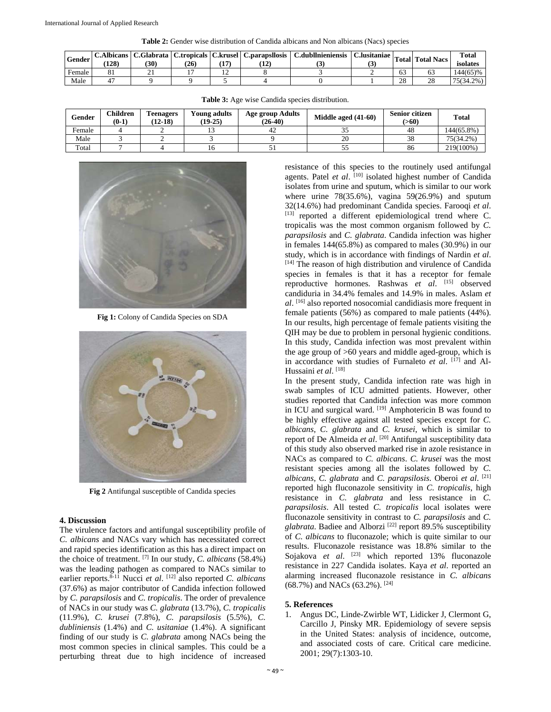| <b>Table 2:</b> Gender wise distribution of Candida albicans and Non albicans (Nacs) species |
|----------------------------------------------------------------------------------------------|
|----------------------------------------------------------------------------------------------|

| <b>Gender</b> | C.Albicans<br>(128) | 30 <sub>1</sub> | 126 |   | C.Glabrata   C.tropicals   C.krusel   C.parapsllosis | C.dubllnieniensis | $\text{C.}$ lusitaniae $\vert$ <sub>m</sub><br>ື |              | <b>Total Total Nacs</b> | <b>Total</b><br>isolates |
|---------------|---------------------|-----------------|-----|---|------------------------------------------------------|-------------------|--------------------------------------------------|--------------|-------------------------|--------------------------|
| Female        |                     | .               |     | ∸ |                                                      |                   |                                                  | 63           |                         | 144(65)%                 |
| Male          |                     |                 |     |   |                                                      |                   |                                                  | $\cap$<br>∠o | nε                      | 75(34.2%)                |

| Gender | Children<br>$(0-1)$ | <b>l'eenagers</b><br>$(12-18)$ | Young adults<br>$(19-25)$ | Age group Adults<br>$(26-40)$ | Middle aged $(41-60)$ | <b>Senior citizen</b><br>(>60) | <b>Total</b> |
|--------|---------------------|--------------------------------|---------------------------|-------------------------------|-----------------------|--------------------------------|--------------|
| Female |                     |                                |                           | -42                           |                       | 48                             | 144(65.8%)   |
| Male   |                     |                                |                           |                               | 20                    | 38                             | 75(34.2%)    |
| Total  |                     |                                |                           | ັ                             | ັ                     | 86                             | 219(100%)    |

**Table 3:** Age wise Candida species distribution.



**Fig 1:** Colony of Candida Species on SDA



**Fig 2** Antifungal susceptible of Candida species

#### **4. Discussion**

The virulence factors and antifungal susceptibility profile of *C. albicans* and NACs vary which has necessitated correct and rapid species identification as this has a direct impact on the choice of treatment. [7] In our study, *C. albicans* (58.4%) was the leading pathogen as compared to NACs similar to earlier reports.<sup>8-11</sup> Nucci *et al.* <sup>[12]</sup> also reported *C. albicans* (37.6%) as major contributor of Candida infection followed by *C. parapsilosis* and *C. tropicalis*. The order of prevalence of NACs in our study was *C. glabrata* (13.7%), *C. tropicalis* (11.9%), *C. krusei* (7.8%), *C. parapsilosis* (5.5%), *C. dubliniensis* (1.4%) and *C. usitaniae* (1.4%). A significant finding of our study is *C. glabrata* among NACs being the most common species in clinical samples. This could be a perturbing threat due to high incidence of increased resistance of this species to the routinely used antifungal agents. Patel *et al.* [10] isolated highest number of Candida isolates from urine and sputum, which is similar to our work where urine  $78(35.6\%)$ , vagina  $59(26.9\%)$  and sputum 32(14.6%) had predominant Candida species. Farooqi *et al*. [13] reported a different epidemiological trend where C. tropicalis was the most common organism followed by *C. parapsilosis* and *C. glabrata*. Candida infection was higher in females 144(65.8%) as compared to males (30.9%) in our study, which is in accordance with findings of Nardin *et al*. [14] The reason of high distribution and virulence of Candida species in females is that it has a receptor for female reproductive hormones. Rashwas *et al*. [15] observed candiduria in 34.4% females and 14.9% in males. Aslam *et al*. [16] also reported nosocomial candidiasis more frequent in female patients (56%) as compared to male patients (44%). In our results, high percentage of female patients visiting the QIH may be due to problem in personal hygienic conditions. In this study, Candida infection was most prevalent within the age group of >60 years and middle aged-group, which is in accordance with studies of Furnaleto et al. [17] and Al-Hussaini *et al*. [18]

In the present study, Candida infection rate was high in swab samples of ICU admitted patients. However, other studies reported that Candida infection was more common in ICU and surgical ward. [19] Amphotericin B was found to be highly effective against all tested species except for *C. albicans*, *C. glabrata* and *C. krusei*, which is similar to report of De Almeida et al. <sup>[20]</sup> Antifungal susceptibility data of this study also observed marked rise in azole resistance in NACs as compared to *C. albicans*. *C. krusei* was the most resistant species among all the isolates followed by *C. albicans*, *C. glabrata* and *C. parapsilosis*. Oberoi *et al*. [21] reported high fluconazole sensitivity in *C. tropicalis*, high resistance in *C. glabrata* and less resistance in *C. parapsilosis*. All tested *C. tropicalis* local isolates were fluconazole sensitivity in contrast to *C. parapsilosis* and *C. glabrata*. Badiee and Alborzi [22] report 89.5% susceptibility of *C. albicans* to fluconazole; which is quite similar to our results. Fluconazole resistance was 18.8% similar to the Sojakova et al. <sup>[23]</sup> which reported 13% fluconazole resistance in 227 Candida isolates. Kaya *et al*. reported an alarming increased fluconazole resistance in *C. albicans* (68.7%) and NACs (63.2%). [24]

#### **5. References**

1. Angus DC, Linde-Zwirble WT, Lidicker J, Clermont G, Carcillo J, Pinsky MR. Epidemiology of severe sepsis in the United States: analysis of incidence, outcome, and associated costs of care. Critical care medicine. 2001; 29(7):1303-10.